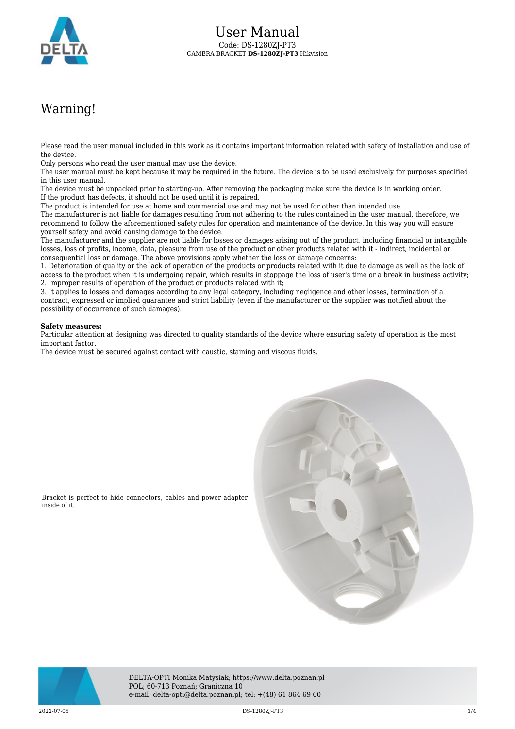

## Warning!

Please read the user manual included in this work as it contains important information related with safety of installation and use of the device.

Only persons who read the user manual may use the device.

The user manual must be kept because it may be required in the future. The device is to be used exclusively for purposes specified in this user manual.

The device must be unpacked prior to starting-up. After removing the packaging make sure the device is in working order. If the product has defects, it should not be used until it is repaired.

The product is intended for use at home and commercial use and may not be used for other than intended use.

The manufacturer is not liable for damages resulting from not adhering to the rules contained in the user manual, therefore, we recommend to follow the aforementioned safety rules for operation and maintenance of the device. In this way you will ensure yourself safety and avoid causing damage to the device.

The manufacturer and the supplier are not liable for losses or damages arising out of the product, including financial or intangible losses, loss of profits, income, data, pleasure from use of the product or other products related with it - indirect, incidental or consequential loss or damage. The above provisions apply whether the loss or damage concerns:

1. Deterioration of quality or the lack of operation of the products or products related with it due to damage as well as the lack of access to the product when it is undergoing repair, which results in stoppage the loss of user's time or a break in business activity; 2. Improper results of operation of the product or products related with it;

3. It applies to losses and damages according to any legal category, including negligence and other losses, termination of a contract, expressed or implied guarantee and strict liability (even if the manufacturer or the supplier was notified about the possibility of occurrence of such damages).

## **Safety measures:**

Particular attention at designing was directed to quality standards of the device where ensuring safety of operation is the most important factor.

The device must be secured against contact with caustic, staining and viscous fluids.



DELTA-OPTI Monika Matysiak; https://www.delta.poznan.pl POL; 60-713 Poznań; Graniczna 10 e-mail: delta-opti@delta.poznan.pl; tel: +(48) 61 864 69 60

inside of it.

2022-07-05 DS-1280ZJ-PT3 1/4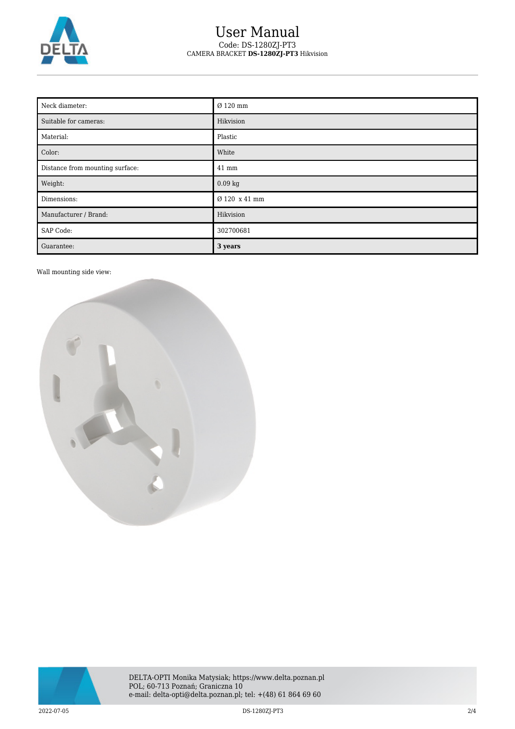

## User Manual Code: DS-1280ZJ-PT3 CAMERA BRACKET **DS-1280ZJ-PT3** Hikvision

| Neck diameter:                  | Ø 120 mm      |
|---------------------------------|---------------|
| Suitable for cameras:           | Hikvision     |
| Material:                       | Plastic       |
| Color:                          | White         |
| Distance from mounting surface: | 41 mm         |
| Weight:                         | 0.09 kg       |
| Dimensions:                     | Ø 120 x 41 mm |
| Manufacturer / Brand:           | Hikvision     |
| SAP Code:                       | 302700681     |
| Guarantee:                      | 3 years       |

Wall mounting side view:



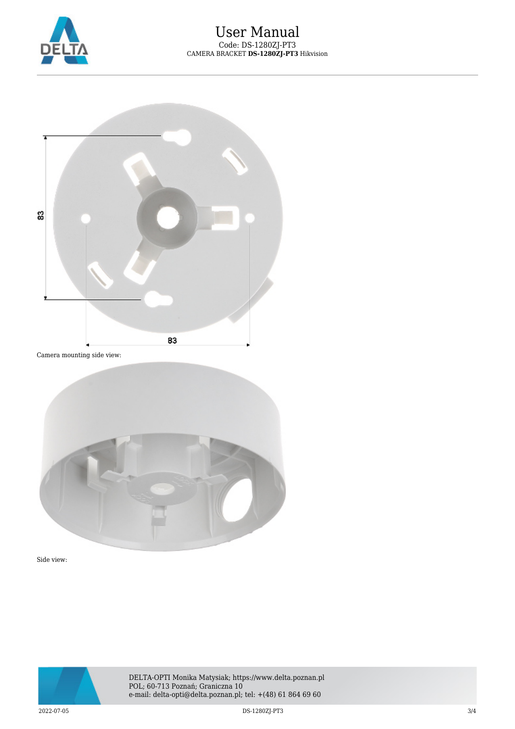



Camera mounting side view:



Side view:



DELTA-OPTI Monika Matysiak; https://www.delta.poznan.pl POL; 60-713 Poznań; Graniczna 10 e-mail: delta-opti@delta.poznan.pl; tel: +(48) 61 864 69 60

2022-07-05 DS-1280ZJ-PT3 3/4